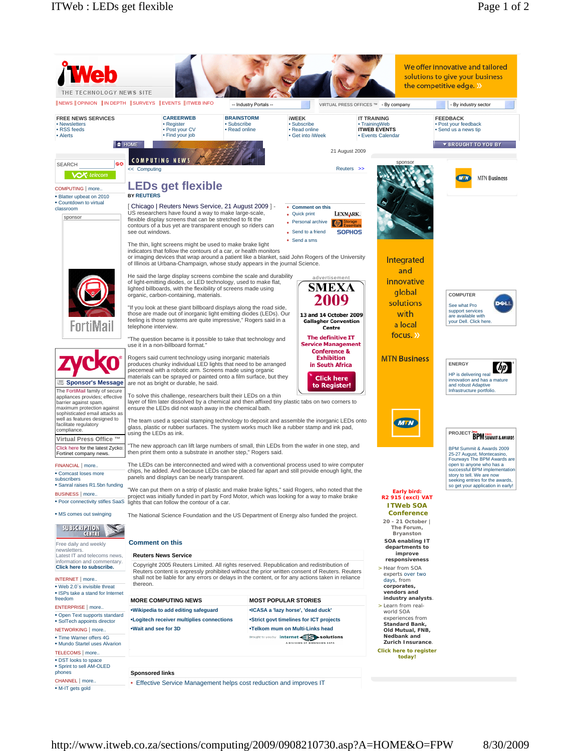